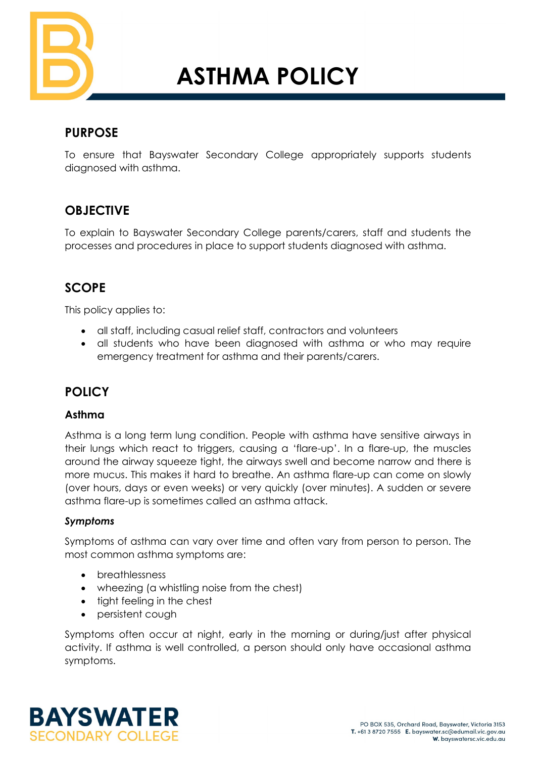

# **ASTHMA POLICY**

## **PURPOSE**

To ensure that Bayswater Secondary College appropriately supports students diagnosed with asthma.

## **OBJECTIVE**

To explain to Bayswater Secondary College parents/carers, staff and students the processes and procedures in place to support students diagnosed with asthma.

# **SCOPE**

This policy applies to:

- all staff, including casual relief staff, contractors and volunteers
- all students who have been diagnosed with asthma or who may require emergency treatment for asthma and their parents/carers.

# **POLICY**

#### **Asthma**

Asthma is a long term lung condition. People with asthma have sensitive airways in their lungs which react to triggers, causing a 'flare-up'. In a flare-up, the muscles around the airway squeeze tight, the airways swell and become narrow and there is more mucus. This makes it hard to breathe. An asthma flare-up can come on slowly (over hours, days or even weeks) or very quickly (over minutes). A sudden or severe asthma flare-up is sometimes called an asthma attack.

#### *Symptoms*

Symptoms of asthma can vary over time and often vary from person to person. The most common asthma symptoms are:

- breathlessness
- wheezing (a whistling noise from the chest)
- tight feeling in the chest
- persistent cough

Symptoms often occur at night, early in the morning or during/just after physical activity. If asthma is well controlled, a person should only have occasional asthma symptoms.

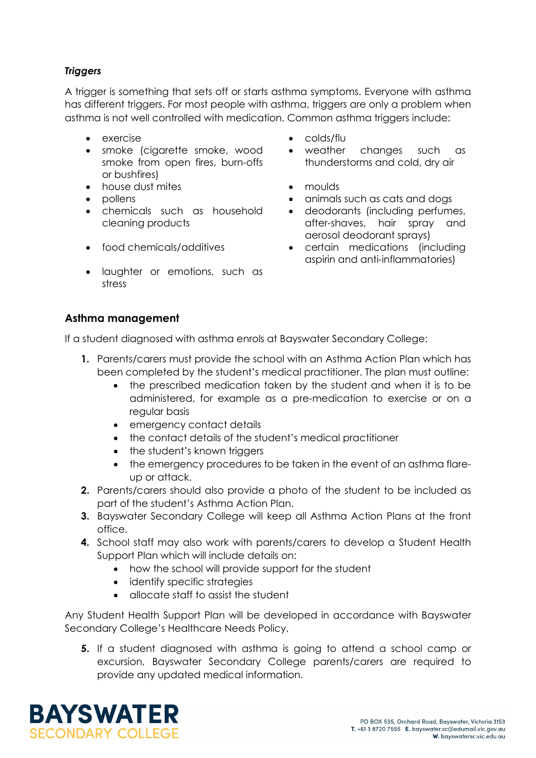## *Triggers*

A trigger is something that sets off or starts asthma symptoms. Everyone with asthma has different triggers. For most people with asthma, triggers are only a problem when asthma is not well controlled with medication. Common asthma triggers include:

- 
- smoke (cigarette smoke, wood smoke from open fires, burn-offs or bushfires)
- house dust mites moulds
- 
- chemicals such as household cleaning products
- 
- laughter or emotions, such as stress
- exercise colds/flu
	- weather changes such as thunderstorms and cold, dry air
	-
- pollens animals such as cats and dogs
	- deodorants (including perfumes, after-shaves, hair spray and aerosol deodorant sprays)
- food chemicals/additives certain medications (including aspirin and anti-inflammatories)

#### **Asthma management**

If a student diagnosed with asthma enrols at Bayswater Secondary College:

- **1.** Parents/carers must provide the school with an Asthma Action Plan which has been completed by the student's medical practitioner. The plan must outline:
	- the prescribed medication taken by the student and when it is to be administered, for example as a pre-medication to exercise or on a regular basis
	- emergency contact details
	- the contact details of the student's medical practitioner
	- the student's known triggers
	- the emergency procedures to be taken in the event of an asthma flareup or attack.
- **2.** Parents/carers should also provide a photo of the student to be included as part of the student's Asthma Action Plan.
- **3.** Bayswater Secondary College will keep all Asthma Action Plans at the front office.
- **4.** School staff may also work with parents/carers to develop a Student Health Support Plan which will include details on:
	- how the school will provide support for the student
	- identify specific strategies
	- allocate staff to assist the student

Any Student Health Support Plan will be developed in accordance with Bayswater Secondary College's Healthcare Needs Policy.

**5.** If a student diagnosed with asthma is going to attend a school camp or excursion, Bayswater Secondary College parents/carers are required to provide any updated medical information.

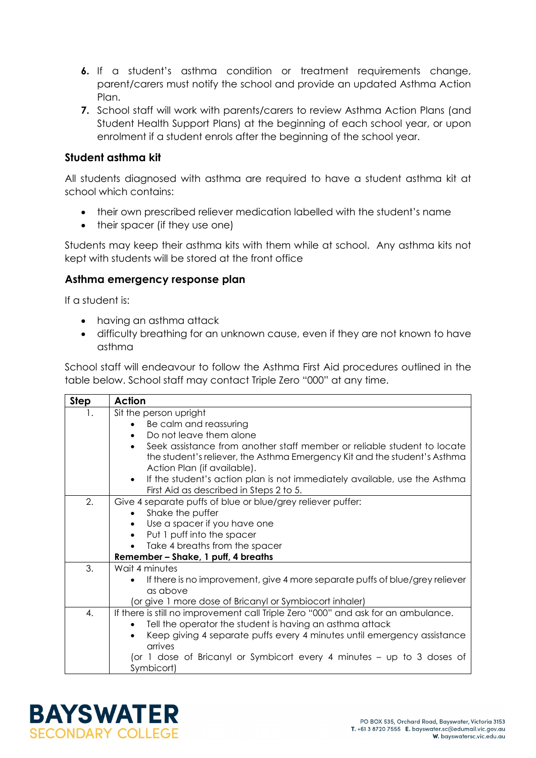- **6.** If a student's asthma condition or treatment requirements change, parent/carers must notify the school and provide an updated Asthma Action Plan.
- **7.** School staff will work with parents/carers to review Asthma Action Plans (and Student Health Support Plans) at the beginning of each school year, or upon enrolment if a student enrols after the beginning of the school year.

#### **Student asthma kit**

All students diagnosed with asthma are required to have a student asthma kit at school which contains:

- their own prescribed reliever medication labelled with the student's name
- their spacer (if they use one)

Students may keep their asthma kits with them while at school. Any asthma kits not kept with students will be stored at the front office

#### **Asthma emergency response plan**

If a student is:

- having an asthma attack
- difficulty breathing for an unknown cause, even if they are not known to have asthma

School staff will endeavour to follow the Asthma First Aid procedures outlined in the table below. School staff may contact Triple Zero "000" at any time.

| <b>Step</b>      | <b>Action</b>                                                                             |  |  |  |  |  |  |
|------------------|-------------------------------------------------------------------------------------------|--|--|--|--|--|--|
| 1.               | Sit the person upright                                                                    |  |  |  |  |  |  |
|                  | Be calm and reassuring                                                                    |  |  |  |  |  |  |
|                  | Do not leave them alone                                                                   |  |  |  |  |  |  |
|                  | Seek assistance from another staff member or reliable student to locate<br>$\bullet$      |  |  |  |  |  |  |
|                  | the student's reliever, the Asthma Emergency Kit and the student's Asthma                 |  |  |  |  |  |  |
|                  | Action Plan (if available).                                                               |  |  |  |  |  |  |
|                  | If the student's action plan is not immediately available, use the Asthma<br>$\bullet$    |  |  |  |  |  |  |
|                  | First Aid as described in Steps 2 to 5.                                                   |  |  |  |  |  |  |
| 2.               | Give 4 separate puffs of blue or blue/grey reliever puffer:                               |  |  |  |  |  |  |
| Shake the puffer |                                                                                           |  |  |  |  |  |  |
|                  | Use a spacer if you have one                                                              |  |  |  |  |  |  |
|                  | Put 1 puff into the spacer                                                                |  |  |  |  |  |  |
|                  | Take 4 breaths from the spacer                                                            |  |  |  |  |  |  |
|                  | Remember - Shake, 1 puff, 4 breaths                                                       |  |  |  |  |  |  |
| 3.               | Wait 4 minutes                                                                            |  |  |  |  |  |  |
|                  | If there is no improvement, give 4 more separate puffs of blue/grey reliever<br>$\bullet$ |  |  |  |  |  |  |
|                  | as above                                                                                  |  |  |  |  |  |  |
|                  | (or give 1 more dose of Bricanyl or Symbiocort inhaler)                                   |  |  |  |  |  |  |
| 4.               | If there is still no improvement call Triple Zero "000" and ask for an ambulance.         |  |  |  |  |  |  |
|                  | Tell the operator the student is having an asthma attack                                  |  |  |  |  |  |  |
|                  | Keep giving 4 separate puffs every 4 minutes until emergency assistance<br>$\bullet$      |  |  |  |  |  |  |
|                  | arrives                                                                                   |  |  |  |  |  |  |
|                  | (or 1 dose of Bricanyl or Symbicort every 4 minutes – up to 3 doses of                    |  |  |  |  |  |  |
|                  | Symbicort)                                                                                |  |  |  |  |  |  |

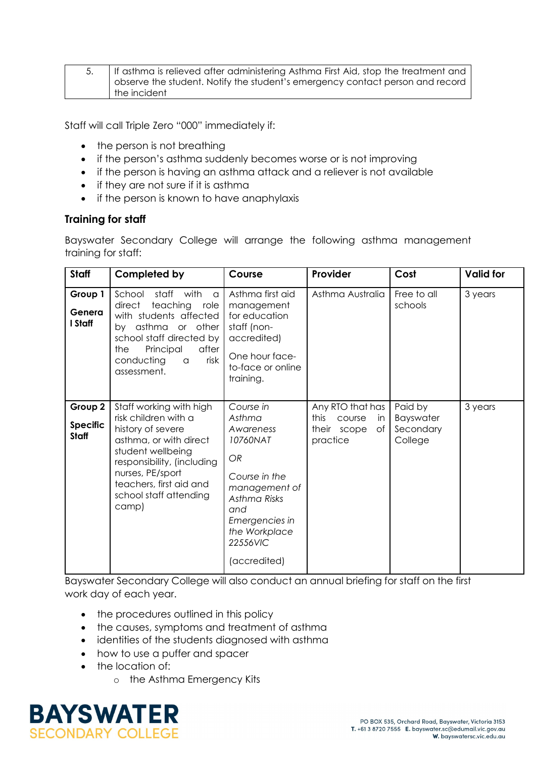| If asthma is relieved after administering Asthma First Aid, stop the treatment and |
|------------------------------------------------------------------------------------|
| observe the student. Notify the student's emergency contact person and record      |
| the incident                                                                       |

Staff will call Triple Zero "000" immediately if:

- the person is not breathing
- if the person's asthma suddenly becomes worse or is not improving
- if the person is having an asthma attack and a reliever is not available
- if they are not sure if it is asthma
- if the person is known to have anaphylaxis

#### **Training for staff**

Bayswater Secondary College will arrange the following asthma management training for staff:

| <b>Staff</b>                               | Completed by                                                                                                                                                                                                                        | Course                                                                                                                                                                            | Provider                                                                         | Cost                                         | <b>Valid for</b> |
|--------------------------------------------|-------------------------------------------------------------------------------------------------------------------------------------------------------------------------------------------------------------------------------------|-----------------------------------------------------------------------------------------------------------------------------------------------------------------------------------|----------------------------------------------------------------------------------|----------------------------------------------|------------------|
| Group 1<br>Genera<br>I Staff               | School<br>staff<br>with<br>a<br>direct<br>teaching role<br>with students affected<br>by asthma or other<br>school staff directed by<br>the<br>Principal<br>after<br>risk<br>conducting<br>a<br>assessment.                          | Asthma first aid<br>management<br>for education<br>staff (non-<br>accredited)<br>One hour face-<br>to-face or online<br>training.                                                 | Asthma Australia                                                                 | Free to all<br>schools                       | 3 years          |
| Group 2<br><b>Specific</b><br><b>Staff</b> | Staff working with high<br>risk children with a<br>history of severe<br>asthma, or with direct<br>student wellbeing<br>responsibility, (including<br>nurses, PE/sport<br>teachers, first aid and<br>school staff attending<br>camp) | Course in<br>Asthma<br>Awareness<br>10760NAT<br><b>OR</b><br>Course in the<br>management of<br>Asthma Risks<br>and<br>Emergencies in<br>the Workplace<br>22556VIC<br>(accredited) | Any RTO that has<br>this<br>course<br><i>in</i><br>their scope<br>of<br>practice | Paid by<br>Bayswater<br>Secondary<br>College | 3 years          |

Bayswater Secondary College will also conduct an annual briefing for staff on the first work day of each year.

- the procedures outlined in this policy
- the causes, symptoms and treatment of asthma
- identities of the students diagnosed with asthma
- how to use a puffer and spacer
- the location of:
	- o the Asthma Emergency Kits

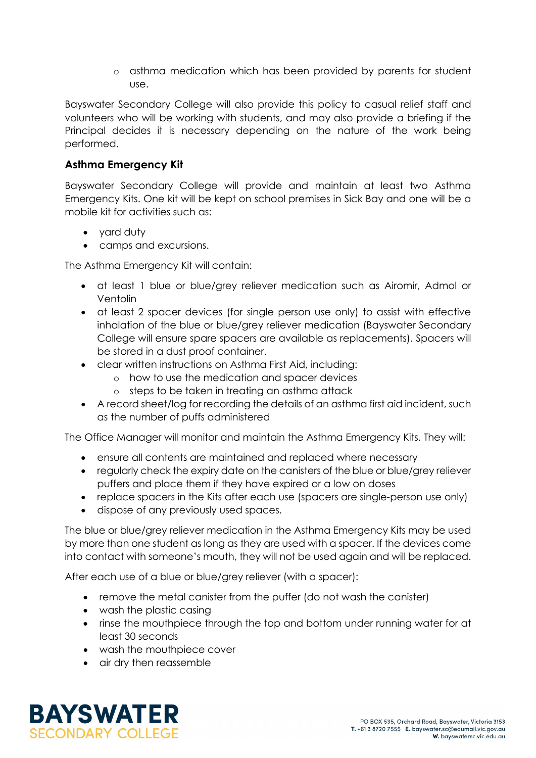o asthma medication which has been provided by parents for student use.

Bayswater Secondary College will also provide this policy to casual relief staff and volunteers who will be working with students, and may also provide a briefing if the Principal decides it is necessary depending on the nature of the work being performed.

#### **Asthma Emergency Kit**

Bayswater Secondary College will provide and maintain at least two Asthma Emergency Kits. One kit will be kept on school premises in Sick Bay and one will be a mobile kit for activities such as:

- vard duty
- camps and excursions.

The Asthma Emergency Kit will contain:

- at least 1 blue or blue/grey reliever medication such as Airomir, Admol or Ventolin
- at least 2 spacer devices (for single person use only) to assist with effective inhalation of the blue or blue/grey reliever medication (Bayswater Secondary College will ensure spare spacers are available as replacements). Spacers will be stored in a dust proof container.
- clear written instructions on Asthma First Aid, including:
	- o how to use the medication and spacer devices
	- o steps to be taken in treating an asthma attack
- A record sheet/log for recording the details of an asthma first aid incident, such as the number of puffs administered

The Office Manager will monitor and maintain the Asthma Emergency Kits. They will:

- ensure all contents are maintained and replaced where necessary
- regularly check the expiry date on the canisters of the blue or blue/grey reliever puffers and place them if they have expired or a low on doses
- replace spacers in the Kits after each use (spacers are single-person use only)
- dispose of any previously used spaces.

The blue or blue/grey reliever medication in the Asthma Emergency Kits may be used by more than one student as long as they are used with a spacer. If the devices come into contact with someone's mouth, they will not be used again and will be replaced.

After each use of a blue or blue/grey reliever (with a spacer):

- remove the metal canister from the puffer (do not wash the canister)
- wash the plastic casing
- rinse the mouthpiece through the top and bottom under running water for at least 30 seconds
- wash the mouthpiece cover
- air dry then reassemble